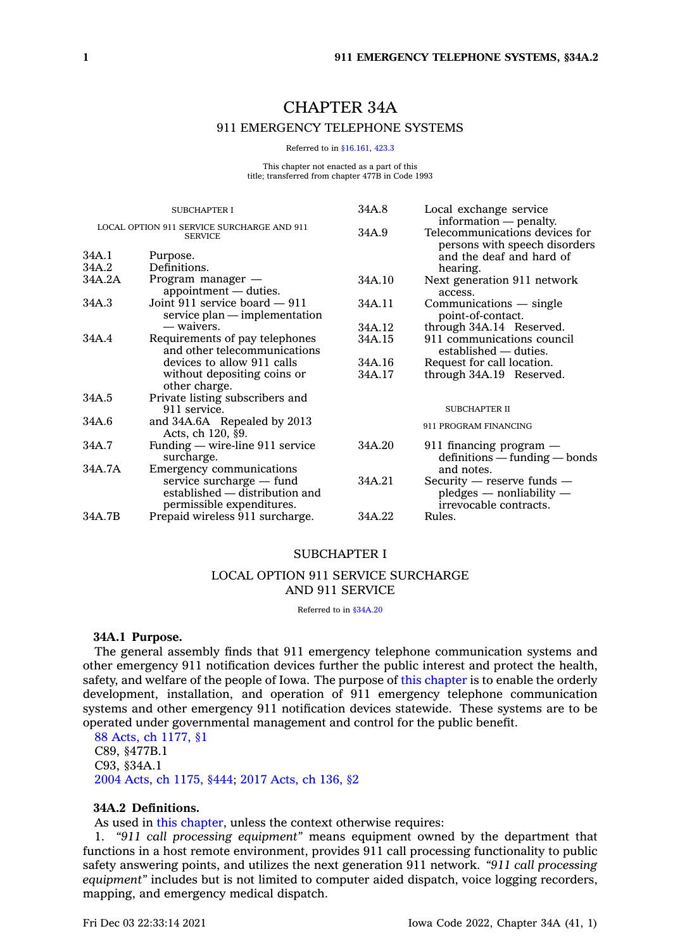# CHAPTER 34A 911 EMERGENCY TELEPHONE SYSTEMS

Referred to in [§16.161](https://www.legis.iowa.gov/docs/code/16.161.pdf), [423.3](https://www.legis.iowa.gov/docs/code/423.3.pdf)

This chapter not enacted as a part of this title; transferred from chapter 477B in Code 1993

| <b>SUBCHAPTER I</b>                                          |                                                                                         | 34A.8  | Local exchange service                                                                    |
|--------------------------------------------------------------|-----------------------------------------------------------------------------------------|--------|-------------------------------------------------------------------------------------------|
| LOCAL OPTION 911 SERVICE SURCHARGE AND 911<br><b>SERVICE</b> |                                                                                         | 34A.9  | information — penalty.<br>Telecommunications devices for<br>persons with speech disorders |
| 34A.1                                                        | Purpose.                                                                                |        | and the deaf and hard of                                                                  |
| 34A.2                                                        | Definitions.                                                                            |        | hearing.                                                                                  |
| 34A.2A                                                       | Program manager —<br>appointment — duties.                                              | 34A.10 | Next generation 911 network<br>access.                                                    |
| 34A.3                                                        | Joint 911 service board $-911$<br>service plan — implementation                         | 34A.11 | $Commonizations$ - single<br>point-of-contact.                                            |
|                                                              | — waivers.                                                                              | 34A.12 | through 34A.14 Reserved.                                                                  |
| 34A.4                                                        | Requirements of pay telephones<br>and other telecommunications                          | 34A.15 | 911 communications council<br>established — duties.                                       |
|                                                              | devices to allow 911 calls                                                              | 34A.16 | Request for call location.                                                                |
|                                                              | without depositing coins or<br>other charge.                                            | 34A.17 | through 34A.19 Reserved.                                                                  |
| 34A.5                                                        | Private listing subscribers and                                                         |        |                                                                                           |
|                                                              | 911 service.                                                                            |        | <b>SUBCHAPTER II</b>                                                                      |
| 34A.6                                                        | and 34A.6A Repealed by 2013<br>Acts, ch 120, §9.                                        |        | 911 PROGRAM FINANCING                                                                     |
| 34A.7                                                        | Funding — wire-line 911 service<br>surcharge.                                           | 34A.20 | $911$ financing program $-$<br>$definitions - funding - bonds$                            |
| 34A.7A                                                       | Emergency communications                                                                |        | and notes.                                                                                |
|                                                              | service surcharge — fund<br>established — distribution and<br>permissible expenditures. | 34A.21 | Security $-$ reserve funds $-$<br>$p$ ledges — nonliability —<br>irrevocable contracts.   |
| 34A.7B                                                       | Prepaid wireless 911 surcharge.                                                         | 34A.22 | Rules.                                                                                    |
|                                                              |                                                                                         |        |                                                                                           |

### SUBCHAPTER I

### LOCAL OPTION 911 SERVICE SURCHARGE AND 911 SERVICE

Referred to in [§34A.20](https://www.legis.iowa.gov/docs/code/34A.20.pdf)

### **34A.1 Purpose.**

The general assembly finds that 911 emergency telephone communication systems and other emergency 911 notification devices further the public interest and protect the health, safety, and welfare of the people of Iowa. The purpose of this [chapter](https://www.legis.iowa.gov/docs/code//34A.pdf) is to enable the orderly development, installation, and operation of 911 emergency telephone communication systems and other emergency 911 notification devices statewide. These systems are to be operated under governmental management and control for the public benefit.

88 Acts, ch [1177,](https://www.legis.iowa.gov/docs/acts/1988/CH1177.pdf) §1 C89, §477B.1 C93, §34A.1 2004 Acts, ch [1175,](https://www.legis.iowa.gov/docs/acts/2004/CH1175.pdf) §444; 2017 [Acts,](https://www.legis.iowa.gov/docs/acts/2017/CH0136.pdf) ch 136, §2

### **34A.2 Definitions.**

As used in this [chapter](https://www.legis.iowa.gov/docs/code//34A.pdf), unless the context otherwise requires:

1. *"911 call processing equipment"* means equipment owned by the department that functions in <sup>a</sup> host remote environment, provides 911 call processing functionality to public safety answering points, and utilizes the next generation 911 network. *"911 call processing equipment"* includes but is not limited to computer aided dispatch, voice logging recorders, mapping, and emergency medical dispatch.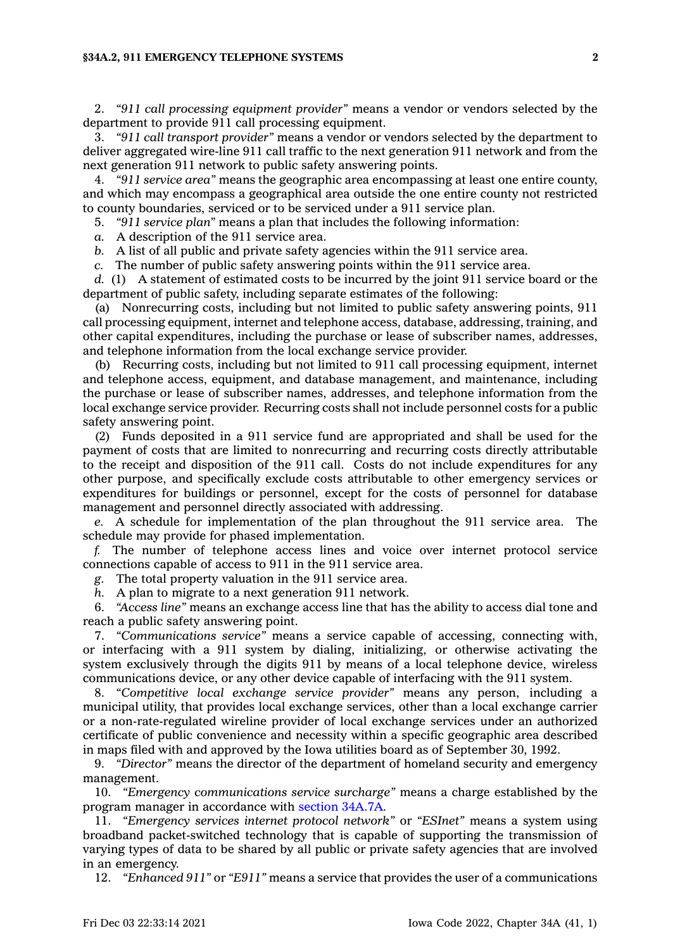#### **§34A.2, 911 EMERGENCY TELEPHONE SYSTEMS 2**

2. *"911 call processing equipment provider"* means <sup>a</sup> vendor or vendors selected by the department to provide 911 call processing equipment.

3. *"911 call transport provider"* means <sup>a</sup> vendor or vendors selected by the department to deliver aggregated wire-line 911 call traffic to the next generation 911 network and from the next generation 911 network to public safety answering points.

4. *"911 service area"* means the geographic area encompassing at least one entire county, and which may encompass <sup>a</sup> geographical area outside the one entire county not restricted to county boundaries, serviced or to be serviced under <sup>a</sup> 911 service plan.

5. *"911 service plan"* means <sup>a</sup> plan that includes the following information:

*a.* A description of the 911 service area.

*b.* A list of all public and private safety agencies within the 911 service area.

*c.* The number of public safety answering points within the 911 service area.

*d.* (1) A statement of estimated costs to be incurred by the joint 911 service board or the department of public safety, including separate estimates of the following:

(a) Nonrecurring costs, including but not limited to public safety answering points, 911 call processing equipment, internet and telephone access, database, addressing, training, and other capital expenditures, including the purchase or lease of subscriber names, addresses, and telephone information from the local exchange service provider.

(b) Recurring costs, including but not limited to 911 call processing equipment, internet and telephone access, equipment, and database management, and maintenance, including the purchase or lease of subscriber names, addresses, and telephone information from the local exchange service provider. Recurring costs shall not include personnel costs for <sup>a</sup> public safety answering point.

(2) Funds deposited in <sup>a</sup> 911 service fund are appropriated and shall be used for the payment of costs that are limited to nonrecurring and recurring costs directly attributable to the receipt and disposition of the 911 call. Costs do not include expenditures for any other purpose, and specifically exclude costs attributable to other emergency services or expenditures for buildings or personnel, except for the costs of personnel for database management and personnel directly associated with addressing.

*e.* A schedule for implementation of the plan throughout the 911 service area. The schedule may provide for phased implementation.

*f.* The number of telephone access lines and voice over internet protocol service connections capable of access to 911 in the 911 service area.

*g.* The total property valuation in the 911 service area.

*h.* A plan to migrate to <sup>a</sup> next generation 911 network.

6. *"Access line"* means an exchange access line that has the ability to access dial tone and reach <sup>a</sup> public safety answering point.

7. *"Communications service"* means <sup>a</sup> service capable of accessing, connecting with, or interfacing with <sup>a</sup> 911 system by dialing, initializing, or otherwise activating the system exclusively through the digits 911 by means of <sup>a</sup> local telephone device, wireless communications device, or any other device capable of interfacing with the 911 system.

8. *"Competitive local exchange service provider"* means any person, including <sup>a</sup> municipal utility, that provides local exchange services, other than <sup>a</sup> local exchange carrier or <sup>a</sup> non-rate-regulated wireline provider of local exchange services under an authorized certificate of public convenience and necessity within <sup>a</sup> specific geographic area described in maps filed with and approved by the Iowa utilities board as of September 30, 1992.

9. *"Director"* means the director of the department of homeland security and emergency management.

10. *"Emergency communications service surcharge"* means <sup>a</sup> charge established by the program manager in accordance with section [34A.7A](https://www.legis.iowa.gov/docs/code/34A.7A.pdf).

11. *"Emergency services internet protocol network"* or *"ESInet"* means <sup>a</sup> system using broadband packet-switched technology that is capable of supporting the transmission of varying types of data to be shared by all public or private safety agencies that are involved in an emergency.

12. *"Enhanced 911"* or *"E911"* means <sup>a</sup> service that provides the user of <sup>a</sup> communications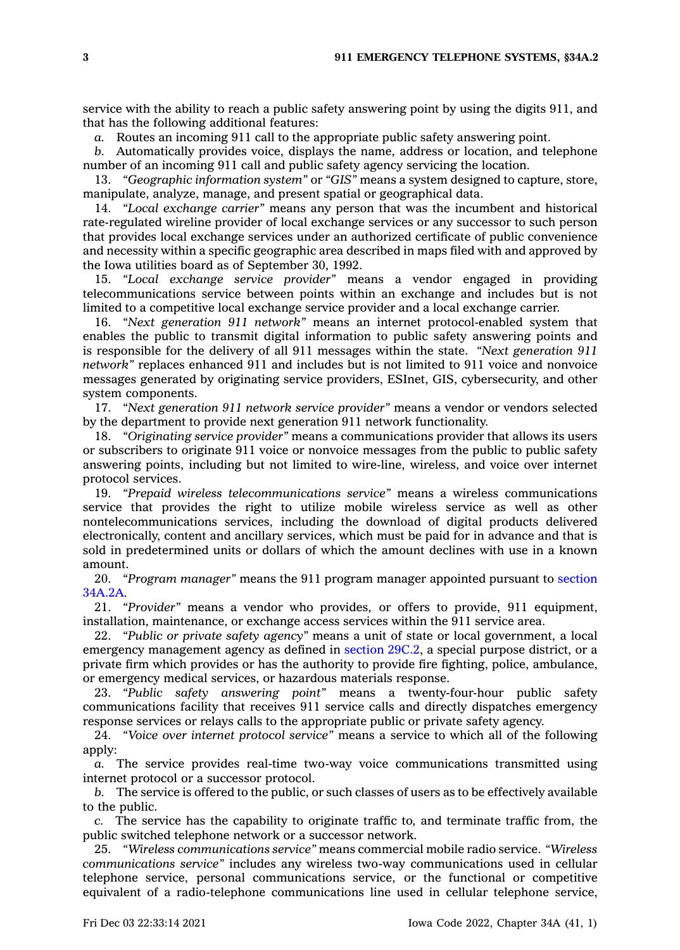service with the ability to reach <sup>a</sup> public safety answering point by using the digits 911, and that has the following additional features:

*a.* Routes an incoming 911 call to the appropriate public safety answering point.

*b.* Automatically provides voice, displays the name, address or location, and telephone number of an incoming 911 call and public safety agency servicing the location.

13. *"Geographic information system"* or *"GIS"* means <sup>a</sup> system designed to capture, store, manipulate, analyze, manage, and present spatial or geographical data.

14. *"Local exchange carrier"* means any person that was the incumbent and historical rate-regulated wireline provider of local exchange services or any successor to such person that provides local exchange services under an authorized certificate of public convenience and necessity within <sup>a</sup> specific geographic area described in maps filed with and approved by the Iowa utilities board as of September 30, 1992.

15. *"Local exchange service provider"* means <sup>a</sup> vendor engaged in providing telecommunications service between points within an exchange and includes but is not limited to <sup>a</sup> competitive local exchange service provider and <sup>a</sup> local exchange carrier.

16. *"Next generation 911 network"* means an internet protocol-enabled system that enables the public to transmit digital information to public safety answering points and is responsible for the delivery of all 911 messages within the state. *"Next generation 911 network"* replaces enhanced 911 and includes but is not limited to 911 voice and nonvoice messages generated by originating service providers, ESInet, GIS, cybersecurity, and other system components.

17. *"Next generation 911 network service provider"* means <sup>a</sup> vendor or vendors selected by the department to provide next generation 911 network functionality.

18. *"Originating service provider"* means <sup>a</sup> communications provider that allows its users or subscribers to originate 911 voice or nonvoice messages from the public to public safety answering points, including but not limited to wire-line, wireless, and voice over internet protocol services.

19. *"Prepaid wireless telecommunications service"* means <sup>a</sup> wireless communications service that provides the right to utilize mobile wireless service as well as other nontelecommunications services, including the download of digital products delivered electronically, content and ancillary services, which must be paid for in advance and that is sold in predetermined units or dollars of which the amount declines with use in <sup>a</sup> known amount.

20. *"Program manager"* means the 911 program manager appointed pursuant to [section](https://www.legis.iowa.gov/docs/code/34A.2A.pdf) [34A.2A](https://www.legis.iowa.gov/docs/code/34A.2A.pdf).

21. *"Provider"* means <sup>a</sup> vendor who provides, or offers to provide, 911 equipment, installation, maintenance, or exchange access services within the 911 service area.

22. *"Public or private safety agency"* means <sup>a</sup> unit of state or local government, <sup>a</sup> local emergency management agency as defined in [section](https://www.legis.iowa.gov/docs/code/29C.2.pdf) 29C.2, <sup>a</sup> special purpose district, or <sup>a</sup> private firm which provides or has the authority to provide fire fighting, police, ambulance, or emergency medical services, or hazardous materials response.

23. *"Public safety answering point"* means <sup>a</sup> twenty-four-hour public safety communications facility that receives 911 service calls and directly dispatches emergency response services or relays calls to the appropriate public or private safety agency.

24. *"Voice over internet protocol service"* means <sup>a</sup> service to which all of the following apply:

*a.* The service provides real-time two-way voice communications transmitted using internet protocol or <sup>a</sup> successor protocol.

*b.* The service is offered to the public, or such classes of users as to be effectively available to the public.

*c.* The service has the capability to originate traffic to, and terminate traffic from, the public switched telephone network or <sup>a</sup> successor network.

25. *"Wireless communications service"* means commercial mobile radio service. *"Wireless communications service"* includes any wireless two-way communications used in cellular telephone service, personal communications service, or the functional or competitive equivalent of <sup>a</sup> radio-telephone communications line used in cellular telephone service,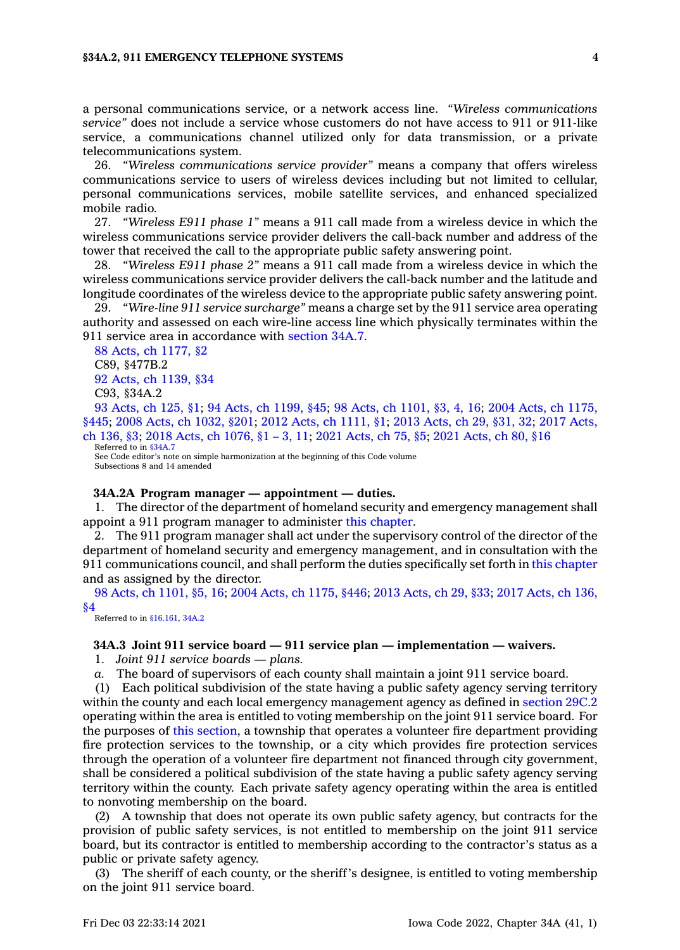<sup>a</sup> personal communications service, or <sup>a</sup> network access line. *"Wireless communications service"* does not include <sup>a</sup> service whose customers do not have access to 911 or 911-like service, <sup>a</sup> communications channel utilized only for data transmission, or <sup>a</sup> private telecommunications system.

26. *"Wireless communications service provider"* means <sup>a</sup> company that offers wireless communications service to users of wireless devices including but not limited to cellular, personal communications services, mobile satellite services, and enhanced specialized mobile radio.

27. *"Wireless E911 phase 1"* means <sup>a</sup> 911 call made from <sup>a</sup> wireless device in which the wireless communications service provider delivers the call-back number and address of the tower that received the call to the appropriate public safety answering point.

28. *"Wireless E911 phase 2"* means <sup>a</sup> 911 call made from <sup>a</sup> wireless device in which the wireless communications service provider delivers the call-back number and the latitude and longitude coordinates of the wireless device to the appropriate public safety answering point.

29. *"Wire-line 911 service surcharge"* means <sup>a</sup> charge set by the 911 service area operating authority and assessed on each wire-line access line which physically terminates within the 911 service area in accordance with [section](https://www.legis.iowa.gov/docs/code/34A.7.pdf) 34A.7.

88 Acts, ch [1177,](https://www.legis.iowa.gov/docs/acts/1988/CH1177.pdf) §2 C89, §477B.2 92 Acts, ch [1139,](https://www.legis.iowa.gov/docs/acts/1992/CH1139.pdf) §34 C93, §34A.2

93 [Acts,](https://www.legis.iowa.gov/docs/acts/1993/CH0125.pdf) ch 125, §1; 94 Acts, ch [1199,](https://www.legis.iowa.gov/docs/acts/94/CH1199.pdf) §45; 98 Acts, ch [1101,](https://www.legis.iowa.gov/docs/acts/98/CH1101.pdf) §3, 4, 16; 2004 Acts, ch [1175,](https://www.legis.iowa.gov/docs/acts/2004/CH1175.pdf) [§445](https://www.legis.iowa.gov/docs/acts/2004/CH1175.pdf); 2008 Acts, ch [1032,](https://www.legis.iowa.gov/docs/acts/2008/CH1032.pdf) §201; 2012 Acts, ch [1111,](https://www.legis.iowa.gov/docs/acts/2012/CH1111.pdf) §1; 2013 [Acts,](https://www.legis.iowa.gov/docs/acts/2013/CH0029.pdf) ch 29, §31, 32; 2017 [Acts,](https://www.legis.iowa.gov/docs/acts/2017/CH0136.pdf) ch [136,](https://www.legis.iowa.gov/docs/acts/2017/CH0136.pdf) §3; 2018 Acts, ch [1076,](https://www.legis.iowa.gov/docs/acts/2018/CH1076.pdf) §1 – 3, 11; 2021 [Acts,](https://www.legis.iowa.gov/docs/acts/2021/CH0075.pdf) ch 75, §5; 2021 [Acts,](https://www.legis.iowa.gov/docs/acts/2021/CH0080.pdf) ch 80, §16 Referred to in [§34A.7](https://www.legis.iowa.gov/docs/code/34A.7.pdf)

See Code editor's note on simple harmonization at the beginning of this Code volume Subsections 8 and 14 amended

#### **34A.2A Program manager — appointment —duties.**

1. The director of the department of homeland security and emergency management shall appoint <sup>a</sup> 911 program manager to administer this [chapter](https://www.legis.iowa.gov/docs/code//34A.pdf).

2. The 911 program manager shall act under the supervisory control of the director of the department of homeland security and emergency management, and in consultation with the 911 communications council, and shall perform the duties specifically set forth in this [chapter](https://www.legis.iowa.gov/docs/code//34A.pdf) and as assigned by the director.

98 Acts, ch [1101,](https://www.legis.iowa.gov/docs/acts/1998/CH1101.pdf) §5, 16; 2004 Acts, ch [1175,](https://www.legis.iowa.gov/docs/acts/2004/CH1175.pdf) §446; 2013 [Acts,](https://www.legis.iowa.gov/docs/acts/2013/CH0029.pdf) ch 29, §33; 2017 [Acts,](https://www.legis.iowa.gov/docs/acts/2017/CH0136.pdf) ch 136, [§4](https://www.legis.iowa.gov/docs/acts/2017/CH0136.pdf)

Referred to in [§16.161](https://www.legis.iowa.gov/docs/code/16.161.pdf), [34A.2](https://www.legis.iowa.gov/docs/code/34A.2.pdf)

#### **34A.3 Joint 911 service board — 911 service plan — implementation — waivers.**

1. *Joint 911 service boards — plans.*

*a.* The board of supervisors of each county shall maintain <sup>a</sup> joint 911 service board.

(1) Each political subdivision of the state having <sup>a</sup> public safety agency serving territory within the county and each local emergency management agency as defined in [section](https://www.legis.iowa.gov/docs/code/29C.2.pdf) 29C.2 operating within the area is entitled to voting membership on the joint 911 service board. For the purposes of this [section](https://www.legis.iowa.gov/docs/code/34A.3.pdf), <sup>a</sup> township that operates <sup>a</sup> volunteer fire department providing fire protection services to the township, or <sup>a</sup> city which provides fire protection services through the operation of <sup>a</sup> volunteer fire department not financed through city government, shall be considered <sup>a</sup> political subdivision of the state having <sup>a</sup> public safety agency serving territory within the county. Each private safety agency operating within the area is entitled to nonvoting membership on the board.

(2) A township that does not operate its own public safety agency, but contracts for the provision of public safety services, is not entitled to membership on the joint 911 service board, but its contractor is entitled to membership according to the contractor's status as <sup>a</sup> public or private safety agency.

(3) The sheriff of each county, or the sheriff's designee, is entitled to voting membership on the joint 911 service board.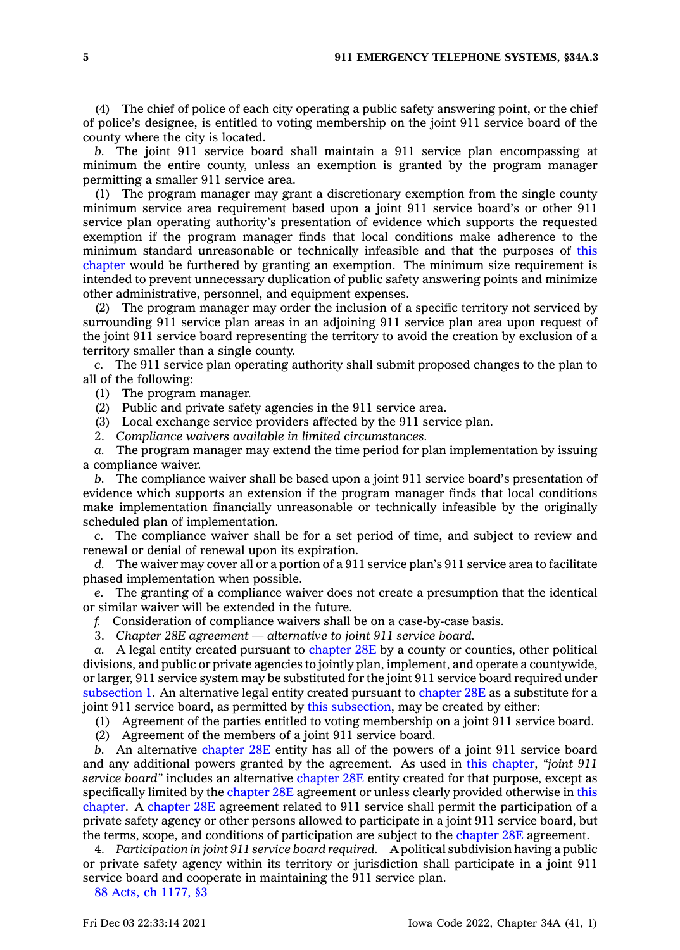(4) The chief of police of each city operating <sup>a</sup> public safety answering point, or the chief of police's designee, is entitled to voting membership on the joint 911 service board of the county where the city is located.

*b.* The joint 911 service board shall maintain <sup>a</sup> 911 service plan encompassing at minimum the entire county, unless an exemption is granted by the program manager permitting <sup>a</sup> smaller 911 service area.

(1) The program manager may grant <sup>a</sup> discretionary exemption from the single county minimum service area requirement based upon <sup>a</sup> joint 911 service board's or other 911 service plan operating authority's presentation of evidence which supports the requested exemption if the program manager finds that local conditions make adherence to the minimum standard unreasonable or technically infeasible and that the purposes of [this](https://www.legis.iowa.gov/docs/code//34A.pdf) [chapter](https://www.legis.iowa.gov/docs/code//34A.pdf) would be furthered by granting an exemption. The minimum size requirement is intended to prevent unnecessary duplication of public safety answering points and minimize other administrative, personnel, and equipment expenses.

(2) The program manager may order the inclusion of <sup>a</sup> specific territory not serviced by surrounding 911 service plan areas in an adjoining 911 service plan area upon request of the joint 911 service board representing the territory to avoid the creation by exclusion of <sup>a</sup> territory smaller than <sup>a</sup> single county.

*c.* The 911 service plan operating authority shall submit proposed changes to the plan to all of the following:

(1) The program manager.

(2) Public and private safety agencies in the 911 service area.

(3) Local exchange service providers affected by the 911 service plan.

2. *Compliance waivers available in limited circumstances.*

*a.* The program manager may extend the time period for plan implementation by issuing <sup>a</sup> compliance waiver.

*b.* The compliance waiver shall be based upon <sup>a</sup> joint 911 service board's presentation of evidence which supports an extension if the program manager finds that local conditions make implementation financially unreasonable or technically infeasible by the originally scheduled plan of implementation.

*c.* The compliance waiver shall be for <sup>a</sup> set period of time, and subject to review and renewal or denial of renewal upon its expiration.

*d.* The waiver may cover all or <sup>a</sup> portion of <sup>a</sup> 911 service plan's 911 service area to facilitate phased implementation when possible.

*e.* The granting of <sup>a</sup> compliance waiver does not create <sup>a</sup> presumption that the identical or similar waiver will be extended in the future.

*f.* Consideration of compliance waivers shall be on <sup>a</sup> case-by-case basis.

3. *Chapter 28E agreement —alternative to joint 911 service board.*

*a.* A legal entity created pursuant to [chapter](https://www.legis.iowa.gov/docs/code//28E.pdf) 28E by <sup>a</sup> county or counties, other political divisions, and public or private agencies to jointly plan, implement, and operate <sup>a</sup> countywide, or larger, 911 service system may be substituted for the joint 911 service board required under [subsection](https://www.legis.iowa.gov/docs/code/34A.3.pdf) 1. An alternative legal entity created pursuant to [chapter](https://www.legis.iowa.gov/docs/code//28E.pdf) 28E as <sup>a</sup> substitute for <sup>a</sup> joint 911 service board, as permitted by this [subsection](https://www.legis.iowa.gov/docs/code/34A.3.pdf), may be created by either:

(1) Agreement of the parties entitled to voting membership on <sup>a</sup> joint 911 service board.

(2) Agreement of the members of <sup>a</sup> joint 911 service board.

*b.* An alternative [chapter](https://www.legis.iowa.gov/docs/code//28E.pdf) 28E entity has all of the powers of <sup>a</sup> joint 911 service board and any additional powers granted by the agreement. As used in this [chapter](https://www.legis.iowa.gov/docs/code//34A.pdf), *"joint 911 service board"* includes an alternative [chapter](https://www.legis.iowa.gov/docs/code//28E.pdf) 28E entity created for that purpose, except as specifically limited by the [chapter](https://www.legis.iowa.gov/docs/code//28E.pdf) 28E agreement or unless clearly provided otherwise in [this](https://www.legis.iowa.gov/docs/code//34A.pdf) [chapter](https://www.legis.iowa.gov/docs/code//34A.pdf). A [chapter](https://www.legis.iowa.gov/docs/code//28E.pdf) 28E agreement related to 911 service shall permit the participation of <sup>a</sup> private safety agency or other persons allowed to participate in <sup>a</sup> joint 911 service board, but the terms, scope, and conditions of participation are subject to the [chapter](https://www.legis.iowa.gov/docs/code//28E.pdf) 28E agreement.

4. *Participation in joint 911 service board required.* A political subdivision having <sup>a</sup> public or private safety agency within its territory or jurisdiction shall participate in <sup>a</sup> joint 911 service board and cooperate in maintaining the 911 service plan.

88 Acts, ch [1177,](https://www.legis.iowa.gov/docs/acts/1988/CH1177.pdf) §3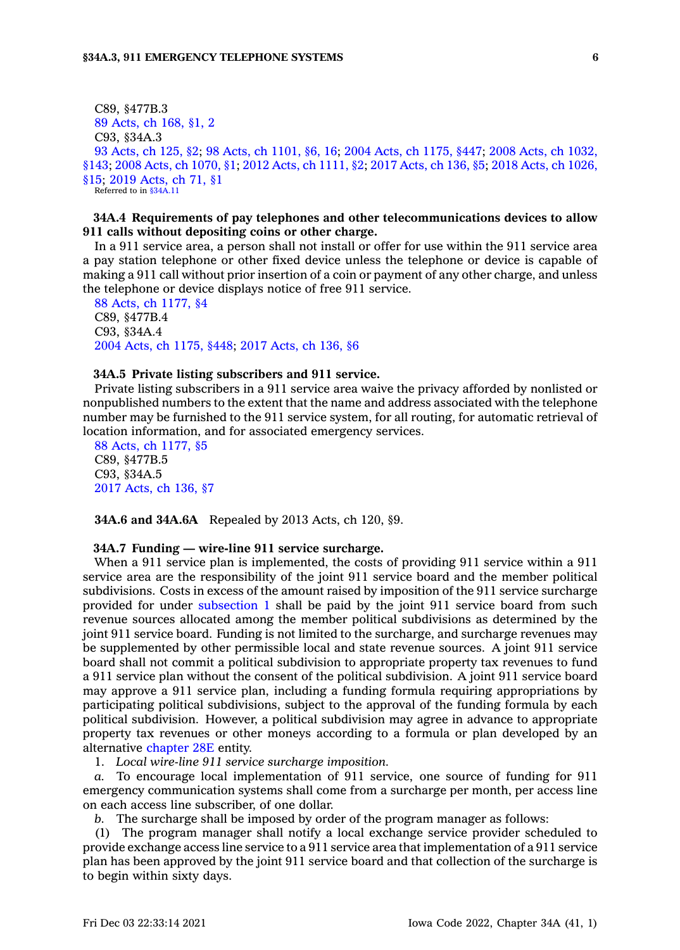C89, §477B.3 89 [Acts,](https://www.legis.iowa.gov/docs/acts/1989/CH0168.pdf) ch 168, §1, 2 C93, §34A.3 93 [Acts,](https://www.legis.iowa.gov/docs/acts/1993/CH0125.pdf) ch 125, §2; 98 Acts, ch [1101,](https://www.legis.iowa.gov/docs/acts/98/CH1101.pdf) §6, 16; 2004 Acts, ch [1175,](https://www.legis.iowa.gov/docs/acts/2004/CH1175.pdf) §447; 2008 Acts, ch [1032,](https://www.legis.iowa.gov/docs/acts/2008/CH1032.pdf) [§143](https://www.legis.iowa.gov/docs/acts/2008/CH1032.pdf); 2008 Acts, ch [1070,](https://www.legis.iowa.gov/docs/acts/2008/CH1070.pdf) §1; 2012 Acts, ch [1111,](https://www.legis.iowa.gov/docs/acts/2012/CH1111.pdf) §2; 2017 [Acts,](https://www.legis.iowa.gov/docs/acts/2017/CH0136.pdf) ch 136, §5; 2018 Acts, ch [1026,](https://www.legis.iowa.gov/docs/acts/2018/CH1026.pdf) [§15](https://www.legis.iowa.gov/docs/acts/2018/CH1026.pdf); 2019 [Acts,](https://www.legis.iowa.gov/docs/acts/2019/CH0071.pdf) ch 71, §1 Referred to in [§34A.11](https://www.legis.iowa.gov/docs/code/34A.11.pdf)

### **34A.4 Requirements of pay telephones and other telecommunications devices to allow 911 calls without depositing coins or other charge.**

In <sup>a</sup> 911 service area, <sup>a</sup> person shall not install or offer for use within the 911 service area <sup>a</sup> pay station telephone or other fixed device unless the telephone or device is capable of making <sup>a</sup> 911 call without prior insertion of <sup>a</sup> coin or payment of any other charge, and unless the telephone or device displays notice of free 911 service.

88 Acts, ch [1177,](https://www.legis.iowa.gov/docs/acts/1988/CH1177.pdf) §4 C89, §477B.4 C93, §34A.4 2004 Acts, ch [1175,](https://www.legis.iowa.gov/docs/acts/2004/CH1175.pdf) §448; 2017 [Acts,](https://www.legis.iowa.gov/docs/acts/2017/CH0136.pdf) ch 136, §6

#### **34A.5 Private listing subscribers and 911 service.**

Private listing subscribers in <sup>a</sup> 911 service area waive the privacy afforded by nonlisted or nonpublished numbers to the extent that the name and address associated with the telephone number may be furnished to the 911 service system, for all routing, for automatic retrieval of location information, and for associated emergency services.

88 Acts, ch [1177,](https://www.legis.iowa.gov/docs/acts/1988/CH1177.pdf) §5 C89, §477B.5 C93, §34A.5 2017 [Acts,](https://www.legis.iowa.gov/docs/acts/2017/CH0136.pdf) ch 136, §7

**34A.6 and 34A.6A** Repealed by 2013 Acts, ch 120, §9.

#### **34A.7 Funding — wire-line 911 service surcharge.**

When <sup>a</sup> 911 service plan is implemented, the costs of providing 911 service within <sup>a</sup> 911 service area are the responsibility of the joint 911 service board and the member political subdivisions. Costs in excess of the amount raised by imposition of the 911 service surcharge provided for under [subsection](https://www.legis.iowa.gov/docs/code/34A.7.pdf) 1 shall be paid by the joint 911 service board from such revenue sources allocated among the member political subdivisions as determined by the joint 911 service board. Funding is not limited to the surcharge, and surcharge revenues may be supplemented by other permissible local and state revenue sources. A joint 911 service board shall not commit <sup>a</sup> political subdivision to appropriate property tax revenues to fund <sup>a</sup> 911 service plan without the consent of the political subdivision. A joint 911 service board may approve <sup>a</sup> 911 service plan, including <sup>a</sup> funding formula requiring appropriations by participating political subdivisions, subject to the approval of the funding formula by each political subdivision. However, <sup>a</sup> political subdivision may agree in advance to appropriate property tax revenues or other moneys according to <sup>a</sup> formula or plan developed by an alternative [chapter](https://www.legis.iowa.gov/docs/code//28E.pdf) 28E entity.

1. *Local wire-line 911 service surcharge imposition.*

*a.* To encourage local implementation of 911 service, one source of funding for 911 emergency communication systems shall come from <sup>a</sup> surcharge per month, per access line on each access line subscriber, of one dollar.

*b.* The surcharge shall be imposed by order of the program manager as follows:

(1) The program manager shall notify <sup>a</sup> local exchange service provider scheduled to provide exchange access line service to <sup>a</sup> 911 service area that implementation of <sup>a</sup> 911 service plan has been approved by the joint 911 service board and that collection of the surcharge is to begin within sixty days.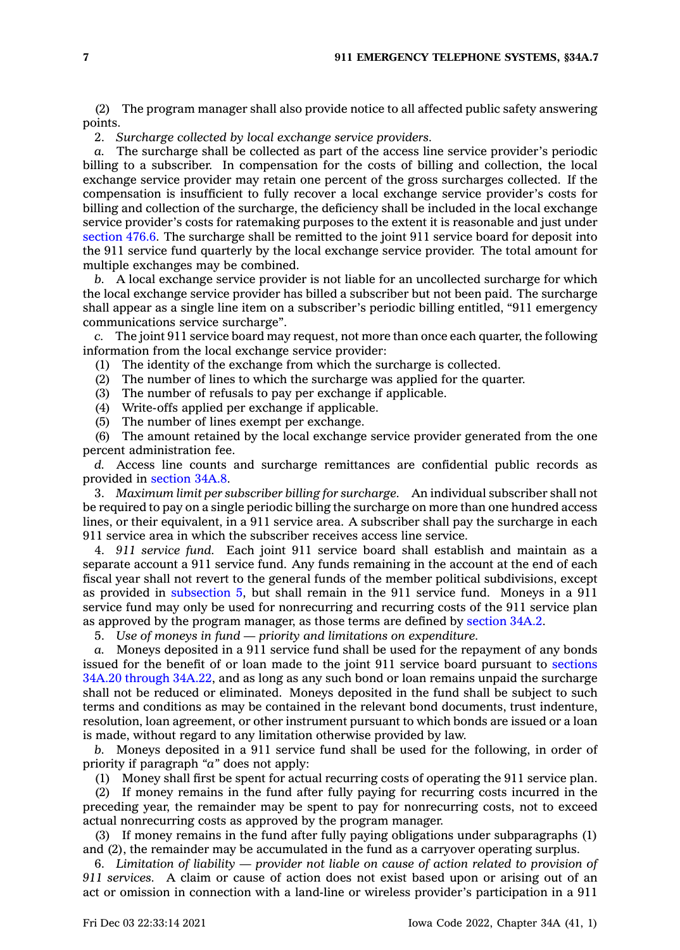(2) The program manager shall also provide notice to all affected public safety answering points.

2. *Surcharge collected by local exchange service providers.*

*a.* The surcharge shall be collected as part of the access line service provider's periodic billing to <sup>a</sup> subscriber. In compensation for the costs of billing and collection, the local exchange service provider may retain one percent of the gross surcharges collected. If the compensation is insufficient to fully recover <sup>a</sup> local exchange service provider's costs for billing and collection of the surcharge, the deficiency shall be included in the local exchange service provider's costs for ratemaking purposes to the extent it is reasonable and just under [section](https://www.legis.iowa.gov/docs/code/476.6.pdf) 476.6. The surcharge shall be remitted to the joint 911 service board for deposit into the 911 service fund quarterly by the local exchange service provider. The total amount for multiple exchanges may be combined.

*b.* A local exchange service provider is not liable for an uncollected surcharge for which the local exchange service provider has billed <sup>a</sup> subscriber but not been paid. The surcharge shall appear as <sup>a</sup> single line item on <sup>a</sup> subscriber's periodic billing entitled, "911 emergency communications service surcharge".

*c.* The joint 911 service board may request, not more than once each quarter, the following information from the local exchange service provider:

(1) The identity of the exchange from which the surcharge is collected.

(2) The number of lines to which the surcharge was applied for the quarter.

- (3) The number of refusals to pay per exchange if applicable.
- (4) Write-offs applied per exchange if applicable.
- (5) The number of lines exempt per exchange.

(6) The amount retained by the local exchange service provider generated from the one percent administration fee.

*d.* Access line counts and surcharge remittances are confidential public records as provided in [section](https://www.legis.iowa.gov/docs/code/34A.8.pdf) 34A.8.

3. *Maximum limit per subscriber billing for surcharge.* An individual subscriber shall not be required to pay on <sup>a</sup> single periodic billing the surcharge on more than one hundred access lines, or their equivalent, in <sup>a</sup> 911 service area. A subscriber shall pay the surcharge in each 911 service area in which the subscriber receives access line service.

4. *911 service fund.* Each joint 911 service board shall establish and maintain as <sup>a</sup> separate account <sup>a</sup> 911 service fund. Any funds remaining in the account at the end of each fiscal year shall not revert to the general funds of the member political subdivisions, except as provided in [subsection](https://www.legis.iowa.gov/docs/code/34A.7.pdf) 5, but shall remain in the 911 service fund. Moneys in <sup>a</sup> 911 service fund may only be used for nonrecurring and recurring costs of the 911 service plan as approved by the program manager, as those terms are defined by [section](https://www.legis.iowa.gov/docs/code/34A.2.pdf) 34A.2.

5. *Use of moneys in fund — priority and limitations on expenditure.*

*a.* Moneys deposited in <sup>a</sup> 911 service fund shall be used for the repayment of any bonds issued for the benefit of or loan made to the joint 911 service board pursuant to [sections](https://www.legis.iowa.gov/docs/code/34A.20.pdf) 34A.20 [through](https://www.legis.iowa.gov/docs/code/34A.20.pdf) 34A.22, and as long as any such bond or loan remains unpaid the surcharge shall not be reduced or eliminated. Moneys deposited in the fund shall be subject to such terms and conditions as may be contained in the relevant bond documents, trust indenture, resolution, loan agreement, or other instrument pursuant to which bonds are issued or <sup>a</sup> loan is made, without regard to any limitation otherwise provided by law.

*b.* Moneys deposited in <sup>a</sup> 911 service fund shall be used for the following, in order of priority if paragraph *"a"* does not apply:

(1) Money shall first be spent for actual recurring costs of operating the 911 service plan.

(2) If money remains in the fund after fully paying for recurring costs incurred in the preceding year, the remainder may be spent to pay for nonrecurring costs, not to exceed actual nonrecurring costs as approved by the program manager.

(3) If money remains in the fund after fully paying obligations under subparagraphs (1) and (2), the remainder may be accumulated in the fund as <sup>a</sup> carryover operating surplus.

6. *Limitation of liability — provider not liable on cause of action related to provision of 911 services.* A claim or cause of action does not exist based upon or arising out of an act or omission in connection with <sup>a</sup> land-line or wireless provider's participation in <sup>a</sup> 911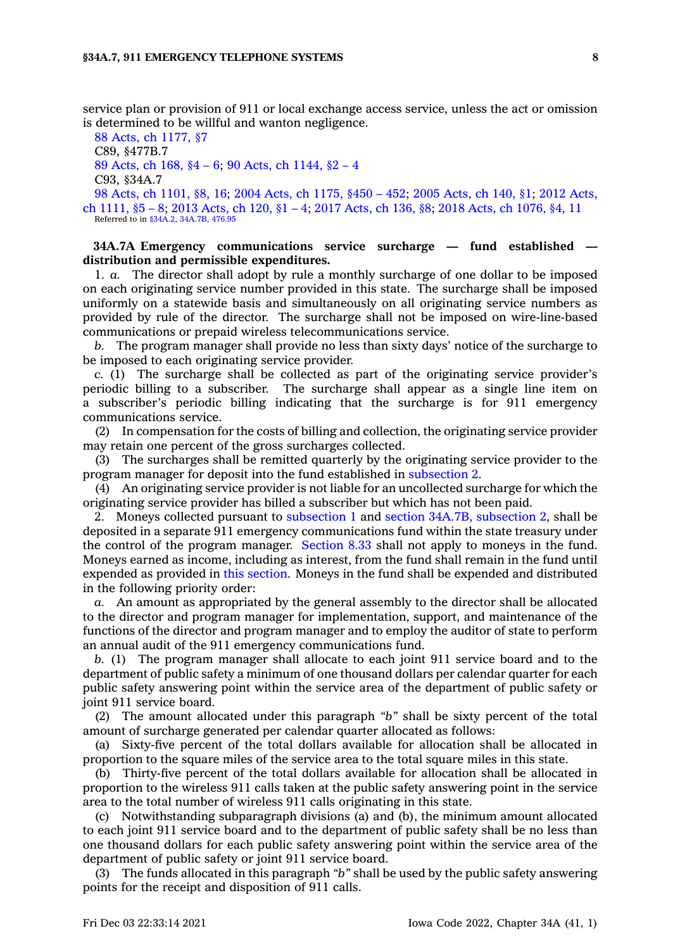service plan or provision of 911 or local exchange access service, unless the act or omission is determined to be willful and wanton negligence.

88 Acts, ch [1177,](https://www.legis.iowa.gov/docs/acts/1988/CH1177.pdf) §7 C89, §477B.7 89 [Acts,](https://www.legis.iowa.gov/docs/acts/1989/CH0168.pdf) ch 168, §4 – 6; 90 Acts, ch [1144,](https://www.legis.iowa.gov/docs/acts/90/CH1144.pdf) §2 – 4 C93, §34A.7 98 Acts, ch [1101,](https://www.legis.iowa.gov/docs/acts/1998/CH1101.pdf) §8, 16; 2004 Acts, ch [1175,](https://www.legis.iowa.gov/docs/acts/2004/CH1175.pdf) §450 – 452; 2005 [Acts,](https://www.legis.iowa.gov/docs/acts/2005/CH0140.pdf) ch 140, §1; 2012 [Acts,](https://www.legis.iowa.gov/docs/acts/2012/CH1111.pdf) ch [1111,](https://www.legis.iowa.gov/docs/acts/2012/CH1111.pdf) §5 – 8; 2013 [Acts,](https://www.legis.iowa.gov/docs/acts/2013/CH0120.pdf) ch 120, §1 – 4; 2017 [Acts,](https://www.legis.iowa.gov/docs/acts/2017/CH0136.pdf) ch 136, §8; 2018 Acts, ch [1076,](https://www.legis.iowa.gov/docs/acts/2018/CH1076.pdf) §4, 11 Referred to in [§34A.2](https://www.legis.iowa.gov/docs/code/34A.2.pdf), [34A.7B](https://www.legis.iowa.gov/docs/code/34A.7B.pdf), [476.95](https://www.legis.iowa.gov/docs/code/476.95.pdf)

### **34A.7A Emergency communications service surcharge — fund established distribution and permissible expenditures.**

1. *a.* The director shall adopt by rule <sup>a</sup> monthly surcharge of one dollar to be imposed on each originating service number provided in this state. The surcharge shall be imposed uniformly on <sup>a</sup> statewide basis and simultaneously on all originating service numbers as provided by rule of the director. The surcharge shall not be imposed on wire-line-based communications or prepaid wireless telecommunications service.

*b.* The program manager shall provide no less than sixty days' notice of the surcharge to be imposed to each originating service provider.

*c.* (1) The surcharge shall be collected as part of the originating service provider's periodic billing to <sup>a</sup> subscriber. The surcharge shall appear as <sup>a</sup> single line item on <sup>a</sup> subscriber's periodic billing indicating that the surcharge is for 911 emergency communications service.

(2) In compensation for the costs of billing and collection, the originating service provider may retain one percent of the gross surcharges collected.

(3) The surcharges shall be remitted quarterly by the originating service provider to the program manager for deposit into the fund established in [subsection](https://www.legis.iowa.gov/docs/code/34A.7A.pdf) 2.

(4) An originating service provider is not liable for an uncollected surcharge for which the originating service provider has billed <sup>a</sup> subscriber but which has not been paid.

2. Moneys collected pursuant to [subsection](https://www.legis.iowa.gov/docs/code/34A.7A.pdf) 1 and section 34A.7B, [subsection](https://www.legis.iowa.gov/docs/code/34A.7B.pdf) 2, shall be deposited in <sup>a</sup> separate 911 emergency communications fund within the state treasury under the control of the program manager. [Section](https://www.legis.iowa.gov/docs/code/8.33.pdf) 8.33 shall not apply to moneys in the fund. Moneys earned as income, including as interest, from the fund shall remain in the fund until expended as provided in this [section](https://www.legis.iowa.gov/docs/code/34A.7A.pdf). Moneys in the fund shall be expended and distributed in the following priority order:

*a.* An amount as appropriated by the general assembly to the director shall be allocated to the director and program manager for implementation, support, and maintenance of the functions of the director and program manager and to employ the auditor of state to perform an annual audit of the 911 emergency communications fund.

*b.* (1) The program manager shall allocate to each joint 911 service board and to the department of public safety <sup>a</sup> minimum of one thousand dollars per calendar quarter for each public safety answering point within the service area of the department of public safety or joint 911 service board.

(2) The amount allocated under this paragraph *"b"* shall be sixty percent of the total amount of surcharge generated per calendar quarter allocated as follows:

(a) Sixty-five percent of the total dollars available for allocation shall be allocated in proportion to the square miles of the service area to the total square miles in this state.

(b) Thirty-five percent of the total dollars available for allocation shall be allocated in proportion to the wireless 911 calls taken at the public safety answering point in the service area to the total number of wireless 911 calls originating in this state.

(c) Notwithstanding subparagraph divisions (a) and (b), the minimum amount allocated to each joint 911 service board and to the department of public safety shall be no less than one thousand dollars for each public safety answering point within the service area of the department of public safety or joint 911 service board.

(3) The funds allocated in this paragraph *"b"* shall be used by the public safety answering points for the receipt and disposition of 911 calls.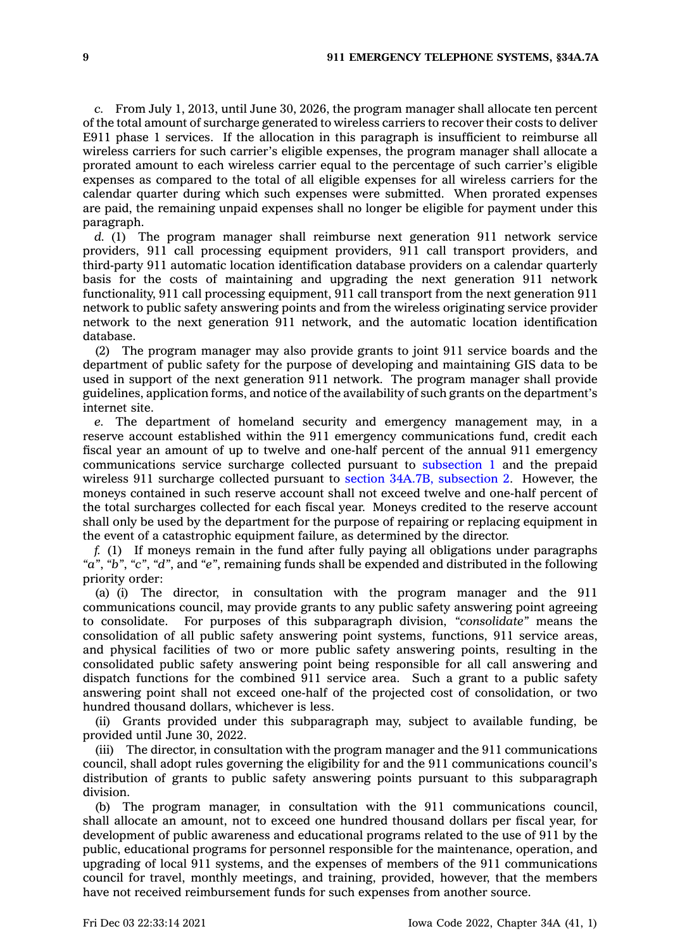*c.* From July 1, 2013, until June 30, 2026, the program manager shall allocate ten percent of the total amount of surcharge generated to wireless carriers to recover their costs to deliver E911 phase 1 services. If the allocation in this paragraph is insufficient to reimburse all wireless carriers for such carrier's eligible expenses, the program manager shall allocate <sup>a</sup> prorated amount to each wireless carrier equal to the percentage of such carrier's eligible expenses as compared to the total of all eligible expenses for all wireless carriers for the calendar quarter during which such expenses were submitted. When prorated expenses are paid, the remaining unpaid expenses shall no longer be eligible for payment under this paragraph.

*d.* (1) The program manager shall reimburse next generation 911 network service providers, 911 call processing equipment providers, 911 call transport providers, and third-party 911 automatic location identification database providers on <sup>a</sup> calendar quarterly basis for the costs of maintaining and upgrading the next generation 911 network functionality, 911 call processing equipment, 911 call transport from the next generation 911 network to public safety answering points and from the wireless originating service provider network to the next generation 911 network, and the automatic location identification database.

(2) The program manager may also provide grants to joint 911 service boards and the department of public safety for the purpose of developing and maintaining GIS data to be used in support of the next generation 911 network. The program manager shall provide guidelines, application forms, and notice of the availability of such grants on the department's internet site.

*e.* The department of homeland security and emergency management may, in <sup>a</sup> reserve account established within the 911 emergency communications fund, credit each fiscal year an amount of up to twelve and one-half percent of the annual 911 emergency communications service surcharge collected pursuant to [subsection](https://www.legis.iowa.gov/docs/code/34A.7A.pdf) 1 and the prepaid wireless 911 surcharge collected pursuant to section 34A.7B, [subsection](https://www.legis.iowa.gov/docs/code/34A.7B.pdf) 2. However, the moneys contained in such reserve account shall not exceed twelve and one-half percent of the total surcharges collected for each fiscal year. Moneys credited to the reserve account shall only be used by the department for the purpose of repairing or replacing equipment in the event of <sup>a</sup> catastrophic equipment failure, as determined by the director.

*f.* (1) If moneys remain in the fund after fully paying all obligations under paragraphs *"a"*, *"b"*, *"c"*, *"d"*, and *"e"*, remaining funds shall be expended and distributed in the following priority order:

(a) (i) The director, in consultation with the program manager and the 911 communications council, may provide grants to any public safety answering point agreeing to consolidate. For purposes of this subparagraph division, *"consolidate"* means the consolidation of all public safety answering point systems, functions, 911 service areas, and physical facilities of two or more public safety answering points, resulting in the consolidated public safety answering point being responsible for all call answering and dispatch functions for the combined 911 service area. Such <sup>a</sup> grant to <sup>a</sup> public safety answering point shall not exceed one-half of the projected cost of consolidation, or two hundred thousand dollars, whichever is less.

(ii) Grants provided under this subparagraph may, subject to available funding, be provided until June 30, 2022.

(iii) The director, in consultation with the program manager and the 911 communications council, shall adopt rules governing the eligibility for and the 911 communications council's distribution of grants to public safety answering points pursuant to this subparagraph division.

(b) The program manager, in consultation with the 911 communications council, shall allocate an amount, not to exceed one hundred thousand dollars per fiscal year, for development of public awareness and educational programs related to the use of 911 by the public, educational programs for personnel responsible for the maintenance, operation, and upgrading of local 911 systems, and the expenses of members of the 911 communications council for travel, monthly meetings, and training, provided, however, that the members have not received reimbursement funds for such expenses from another source.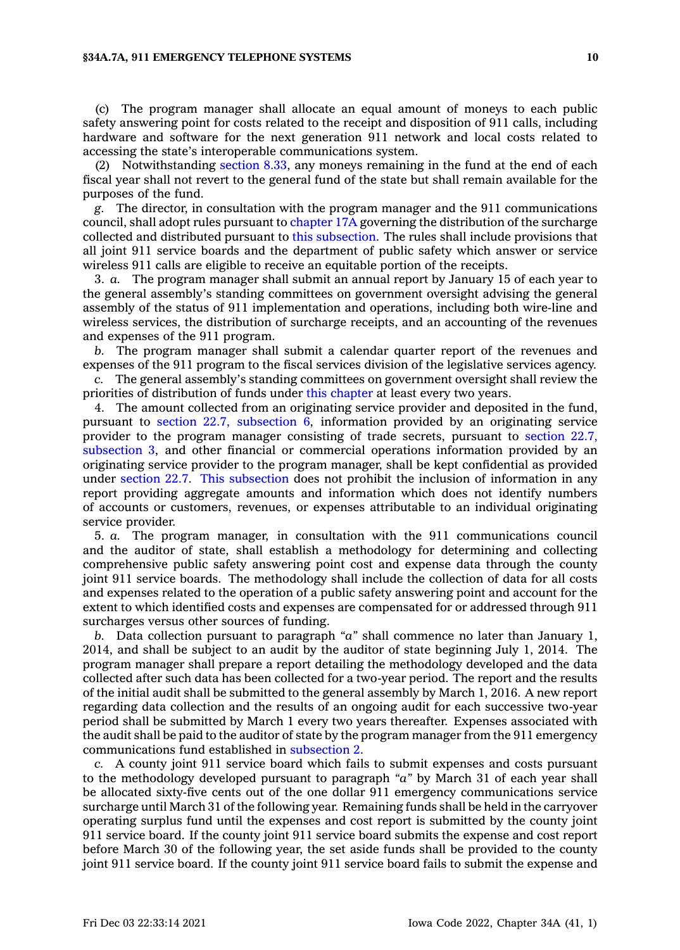#### **§34A.7A, 911 EMERGENCY TELEPHONE SYSTEMS 10**

(c) The program manager shall allocate an equal amount of moneys to each public safety answering point for costs related to the receipt and disposition of 911 calls, including hardware and software for the next generation 911 network and local costs related to accessing the state's interoperable communications system.

(2) Notwithstanding [section](https://www.legis.iowa.gov/docs/code/8.33.pdf) 8.33, any moneys remaining in the fund at the end of each fiscal year shall not revert to the general fund of the state but shall remain available for the purposes of the fund.

*g.* The director, in consultation with the program manager and the 911 communications council, shall adopt rules pursuant to [chapter](https://www.legis.iowa.gov/docs/code//17A.pdf) 17A governing the distribution of the surcharge collected and distributed pursuant to this [subsection](https://www.legis.iowa.gov/docs/code/34A.7A.pdf). The rules shall include provisions that all joint 911 service boards and the department of public safety which answer or service wireless 911 calls are eligible to receive an equitable portion of the receipts.

3. *a.* The program manager shall submit an annual report by January 15 of each year to the general assembly's standing committees on government oversight advising the general assembly of the status of 911 implementation and operations, including both wire-line and wireless services, the distribution of surcharge receipts, and an accounting of the revenues and expenses of the 911 program.

*b.* The program manager shall submit <sup>a</sup> calendar quarter report of the revenues and expenses of the 911 program to the fiscal services division of the legislative services agency.

*c.* The general assembly's standing committees on government oversight shall review the priorities of distribution of funds under this [chapter](https://www.legis.iowa.gov/docs/code//34A.pdf) at least every two years.

4. The amount collected from an originating service provider and deposited in the fund, pursuant to section 22.7, [subsection](https://www.legis.iowa.gov/docs/code/22.7.pdf) 6, information provided by an originating service provider to the program manager consisting of trade secrets, pursuant to [section](https://www.legis.iowa.gov/docs/code/22.7.pdf) 22.7, [subsection](https://www.legis.iowa.gov/docs/code/22.7.pdf) 3, and other financial or commercial operations information provided by an originating service provider to the program manager, shall be kept confidential as provided under [section](https://www.legis.iowa.gov/docs/code/22.7.pdf) 22.7. This [subsection](https://www.legis.iowa.gov/docs/code/34A.7A.pdf) does not prohibit the inclusion of information in any report providing aggregate amounts and information which does not identify numbers of accounts or customers, revenues, or expenses attributable to an individual originating service provider.

5. *a.* The program manager, in consultation with the 911 communications council and the auditor of state, shall establish <sup>a</sup> methodology for determining and collecting comprehensive public safety answering point cost and expense data through the county joint 911 service boards. The methodology shall include the collection of data for all costs and expenses related to the operation of <sup>a</sup> public safety answering point and account for the extent to which identified costs and expenses are compensated for or addressed through 911 surcharges versus other sources of funding.

*b.* Data collection pursuant to paragraph *"a"* shall commence no later than January 1, 2014, and shall be subject to an audit by the auditor of state beginning July 1, 2014. The program manager shall prepare <sup>a</sup> report detailing the methodology developed and the data collected after such data has been collected for <sup>a</sup> two-year period. The report and the results of the initial audit shall be submitted to the general assembly by March 1, 2016. A new report regarding data collection and the results of an ongoing audit for each successive two-year period shall be submitted by March 1 every two years thereafter. Expenses associated with the audit shall be paid to the auditor of state by the program manager from the 911 emergency communications fund established in [subsection](https://www.legis.iowa.gov/docs/code/34A.7A.pdf) 2.

*c.* A county joint 911 service board which fails to submit expenses and costs pursuant to the methodology developed pursuant to paragraph *"a"* by March 31 of each year shall be allocated sixty-five cents out of the one dollar 911 emergency communications service surcharge until March 31 of the following year. Remaining funds shall be held in the carryover operating surplus fund until the expenses and cost report is submitted by the county joint 911 service board. If the county joint 911 service board submits the expense and cost report before March 30 of the following year, the set aside funds shall be provided to the county joint 911 service board. If the county joint 911 service board fails to submit the expense and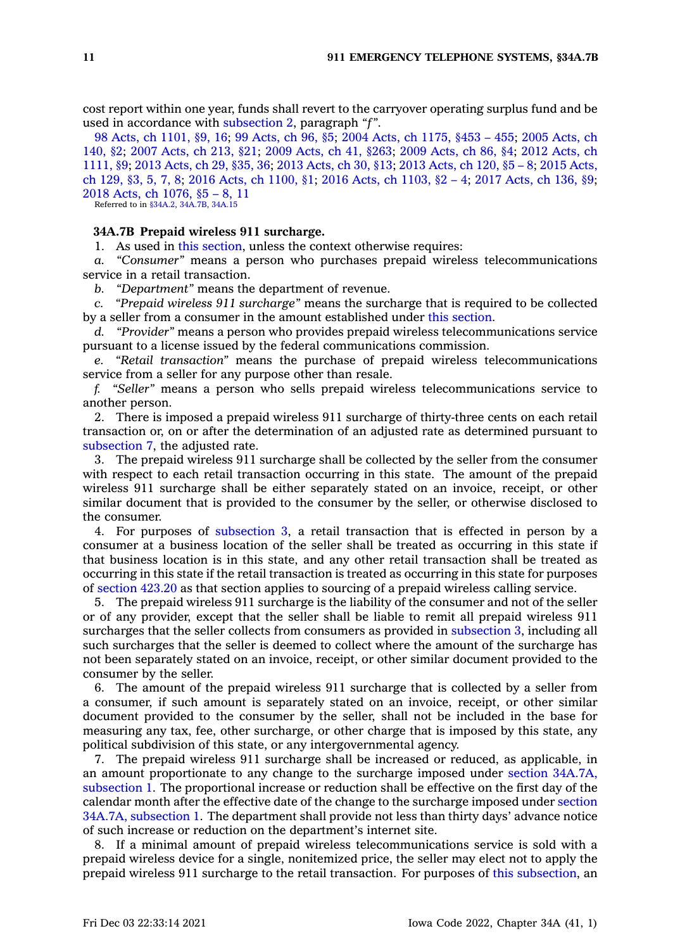cost report within one year, funds shall revert to the carryover operating surplus fund and be used in accordance with [subsection](https://www.legis.iowa.gov/docs/code/34A.7A.pdf) 2, paragraph *"f"*.

98 Acts, ch [1101,](https://www.legis.iowa.gov/docs/acts/1998/CH1101.pdf) §9, 16; 99 [Acts,](https://www.legis.iowa.gov/docs/acts/99/CH0096.pdf) ch 96, §5; 2004 Acts, ch [1175,](https://www.legis.iowa.gov/docs/acts/2004/CH1175.pdf) §453 – 455; 2005 [Acts,](https://www.legis.iowa.gov/docs/acts/2005/CH0140.pdf) ch [140,](https://www.legis.iowa.gov/docs/acts/2005/CH0140.pdf) §2; 2007 [Acts,](https://www.legis.iowa.gov/docs/acts/2007/CH0213.pdf) ch 213, §21; 2009 [Acts,](https://www.legis.iowa.gov/docs/acts/2009/CH0041.pdf) ch 41, §263; 2009 [Acts,](https://www.legis.iowa.gov/docs/acts/2009/CH0086.pdf) ch 86, §4; 2012 [Acts,](https://www.legis.iowa.gov/docs/acts/2012/CH1111.pdf) ch [1111,](https://www.legis.iowa.gov/docs/acts/2012/CH1111.pdf) §9; 2013 [Acts,](https://www.legis.iowa.gov/docs/acts/2013/CH0029.pdf) ch 29, §35, 36; 2013 [Acts,](https://www.legis.iowa.gov/docs/acts/2013/CH0030.pdf) ch 30, §13; 2013 [Acts,](https://www.legis.iowa.gov/docs/acts/2013/CH0120.pdf) ch 120, §5 – 8; 2015 [Acts,](https://www.legis.iowa.gov/docs/acts/2015/CH0129.pdf) ch [129,](https://www.legis.iowa.gov/docs/acts/2015/CH0129.pdf) §3, 5, 7, 8; 2016 Acts, ch [1100,](https://www.legis.iowa.gov/docs/acts/2016/CH1100.pdf) §1; 2016 Acts, ch [1103,](https://www.legis.iowa.gov/docs/acts/2016/CH1103.pdf) §2 – 4; 2017 [Acts,](https://www.legis.iowa.gov/docs/acts/2017/CH0136.pdf) ch 136, §9; 2018 Acts, ch [1076,](https://www.legis.iowa.gov/docs/acts/2018/CH1076.pdf) §5 – 8, 11

Referred to in [§34A.2](https://www.legis.iowa.gov/docs/code/34A.2.pdf), [34A.7B](https://www.legis.iowa.gov/docs/code/34A.7B.pdf), [34A.15](https://www.legis.iowa.gov/docs/code/34A.15.pdf)

### **34A.7B Prepaid wireless 911 surcharge.**

1. As used in this [section](https://www.legis.iowa.gov/docs/code/34A.7B.pdf), unless the context otherwise requires:

*a. "Consumer"* means <sup>a</sup> person who purchases prepaid wireless telecommunications service in <sup>a</sup> retail transaction.

*b. "Department"* means the department of revenue.

*c. "Prepaid wireless 911 surcharge"* means the surcharge that is required to be collected by <sup>a</sup> seller from <sup>a</sup> consumer in the amount established under this [section](https://www.legis.iowa.gov/docs/code/34A.7B.pdf).

*d. "Provider"* means <sup>a</sup> person who provides prepaid wireless telecommunications service pursuant to <sup>a</sup> license issued by the federal communications commission.

*e. "Retail transaction"* means the purchase of prepaid wireless telecommunications service from <sup>a</sup> seller for any purpose other than resale.

*f. "Seller"* means <sup>a</sup> person who sells prepaid wireless telecommunications service to another person.

2. There is imposed <sup>a</sup> prepaid wireless 911 surcharge of thirty-three cents on each retail transaction or, on or after the determination of an adjusted rate as determined pursuant to [subsection](https://www.legis.iowa.gov/docs/code/34A.7B.pdf) 7, the adjusted rate.

3. The prepaid wireless 911 surcharge shall be collected by the seller from the consumer with respect to each retail transaction occurring in this state. The amount of the prepaid wireless 911 surcharge shall be either separately stated on an invoice, receipt, or other similar document that is provided to the consumer by the seller, or otherwise disclosed to the consumer.

4. For purposes of [subsection](https://www.legis.iowa.gov/docs/code/34A.7B.pdf) 3, <sup>a</sup> retail transaction that is effected in person by <sup>a</sup> consumer at <sup>a</sup> business location of the seller shall be treated as occurring in this state if that business location is in this state, and any other retail transaction shall be treated as occurring in this state if the retail transaction is treated as occurring in this state for purposes of [section](https://www.legis.iowa.gov/docs/code/423.20.pdf) 423.20 as that section applies to sourcing of <sup>a</sup> prepaid wireless calling service.

5. The prepaid wireless 911 surcharge is the liability of the consumer and not of the seller or of any provider, except that the seller shall be liable to remit all prepaid wireless 911 surcharges that the seller collects from consumers as provided in [subsection](https://www.legis.iowa.gov/docs/code/34A.7B.pdf) 3, including all such surcharges that the seller is deemed to collect where the amount of the surcharge has not been separately stated on an invoice, receipt, or other similar document provided to the consumer by the seller.

6. The amount of the prepaid wireless 911 surcharge that is collected by <sup>a</sup> seller from <sup>a</sup> consumer, if such amount is separately stated on an invoice, receipt, or other similar document provided to the consumer by the seller, shall not be included in the base for measuring any tax, fee, other surcharge, or other charge that is imposed by this state, any political subdivision of this state, or any intergovernmental agency.

7. The prepaid wireless 911 surcharge shall be increased or reduced, as applicable, in an amount proportionate to any change to the surcharge imposed under section [34A.7A,](https://www.legis.iowa.gov/docs/code/34A.7A.pdf) [subsection](https://www.legis.iowa.gov/docs/code/34A.7A.pdf) 1. The proportional increase or reduction shall be effective on the first day of the calendar month after the effective date of the change to the surcharge imposed under [section](https://www.legis.iowa.gov/docs/code/34A.7A.pdf) 34A.7A, [subsection](https://www.legis.iowa.gov/docs/code/34A.7A.pdf) 1. The department shall provide not less than thirty days' advance notice of such increase or reduction on the department's internet site.

8. If <sup>a</sup> minimal amount of prepaid wireless telecommunications service is sold with <sup>a</sup> prepaid wireless device for <sup>a</sup> single, nonitemized price, the seller may elect not to apply the prepaid wireless 911 surcharge to the retail transaction. For purposes of this [subsection](https://www.legis.iowa.gov/docs/code/34A.7B.pdf), an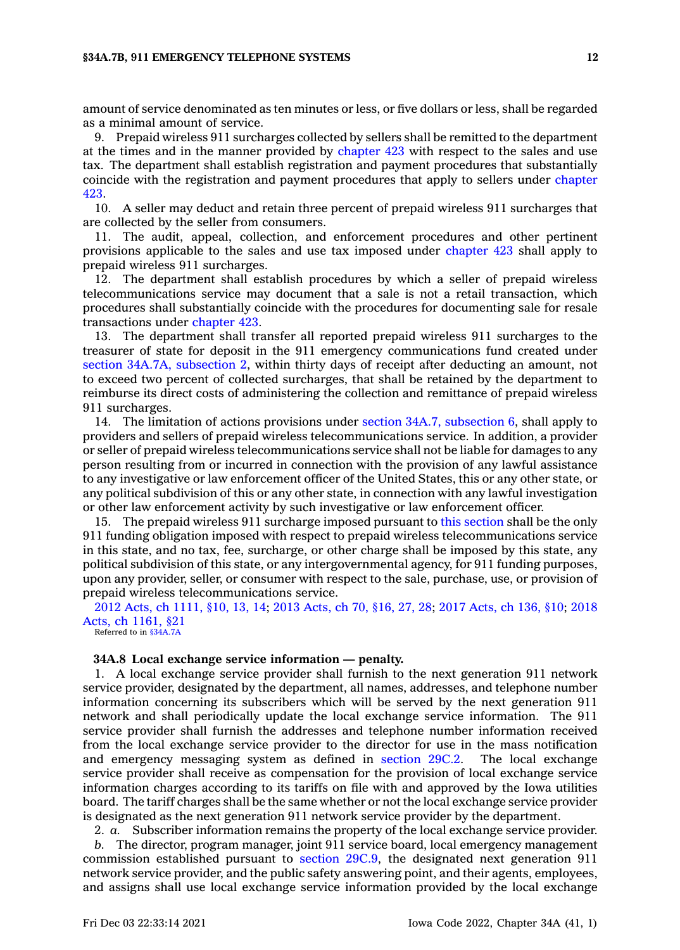amount of service denominated as ten minutes or less, or five dollars or less, shall be regarded as <sup>a</sup> minimal amount of service.

9. Prepaid wireless 911 surcharges collected by sellers shall be remitted to the department at the times and in the manner provided by [chapter](https://www.legis.iowa.gov/docs/code//423.pdf) 423 with respect to the sales and use tax. The department shall establish registration and payment procedures that substantially coincide with the registration and payment procedures that apply to sellers under [chapter](https://www.legis.iowa.gov/docs/code//423.pdf) [423](https://www.legis.iowa.gov/docs/code//423.pdf).

10. A seller may deduct and retain three percent of prepaid wireless 911 surcharges that are collected by the seller from consumers.

11. The audit, appeal, collection, and enforcement procedures and other pertinent provisions applicable to the sales and use tax imposed under [chapter](https://www.legis.iowa.gov/docs/code//423.pdf) 423 shall apply to prepaid wireless 911 surcharges.

12. The department shall establish procedures by which <sup>a</sup> seller of prepaid wireless telecommunications service may document that <sup>a</sup> sale is not <sup>a</sup> retail transaction, which procedures shall substantially coincide with the procedures for documenting sale for resale transactions under [chapter](https://www.legis.iowa.gov/docs/code//423.pdf) 423.

13. The department shall transfer all reported prepaid wireless 911 surcharges to the treasurer of state for deposit in the 911 emergency communications fund created under section 34A.7A, [subsection](https://www.legis.iowa.gov/docs/code/34A.7A.pdf) 2, within thirty days of receipt after deducting an amount, not to exceed two percent of collected surcharges, that shall be retained by the department to reimburse its direct costs of administering the collection and remittance of prepaid wireless 911 surcharges.

14. The limitation of actions provisions under section 34A.7, [subsection](https://www.legis.iowa.gov/docs/code/34A.7.pdf) 6, shall apply to providers and sellers of prepaid wireless telecommunications service. In addition, <sup>a</sup> provider or seller of prepaid wireless telecommunications service shall not be liable for damages to any person resulting from or incurred in connection with the provision of any lawful assistance to any investigative or law enforcement officer of the United States, this or any other state, or any political subdivision of this or any other state, in connection with any lawful investigation or other law enforcement activity by such investigative or law enforcement officer.

15. The prepaid wireless 911 surcharge imposed pursuant to this [section](https://www.legis.iowa.gov/docs/code/34A.7B.pdf) shall be the only 911 funding obligation imposed with respect to prepaid wireless telecommunications service in this state, and no tax, fee, surcharge, or other charge shall be imposed by this state, any political subdivision of this state, or any intergovernmental agency, for 911 funding purposes, upon any provider, seller, or consumer with respect to the sale, purchase, use, or provision of prepaid wireless telecommunications service.

2012 Acts, ch [1111,](https://www.legis.iowa.gov/docs/acts/2012/CH1111.pdf) §10, 13, 14; 2013 [Acts,](https://www.legis.iowa.gov/docs/acts/2013/CH0070.pdf) ch 70, §16, 27, 28; 2017 [Acts,](https://www.legis.iowa.gov/docs/acts/2017/CH0136.pdf) ch 136, §10; [2018](https://www.legis.iowa.gov/docs/acts/2018/CH1161.pdf) Acts, ch [1161,](https://www.legis.iowa.gov/docs/acts/2018/CH1161.pdf) §21

Referred to in [§34A.7A](https://www.legis.iowa.gov/docs/code/34A.7A.pdf)

#### **34A.8 Local exchange service information — penalty.**

1. A local exchange service provider shall furnish to the next generation 911 network service provider, designated by the department, all names, addresses, and telephone number information concerning its subscribers which will be served by the next generation 911 network and shall periodically update the local exchange service information. The 911 service provider shall furnish the addresses and telephone number information received from the local exchange service provider to the director for use in the mass notification and emergency messaging system as defined in [section](https://www.legis.iowa.gov/docs/code/29C.2.pdf) 29C.2. The local exchange service provider shall receive as compensation for the provision of local exchange service information charges according to its tariffs on file with and approved by the Iowa utilities board. The tariff charges shall be the same whether or not the local exchange service provider is designated as the next generation 911 network service provider by the department.

2. *a.* Subscriber information remains the property of the local exchange service provider. *b.* The director, program manager, joint 911 service board, local emergency management commission established pursuant to [section](https://www.legis.iowa.gov/docs/code/29C.9.pdf) 29C.9, the designated next generation 911 network service provider, and the public safety answering point, and their agents, employees, and assigns shall use local exchange service information provided by the local exchange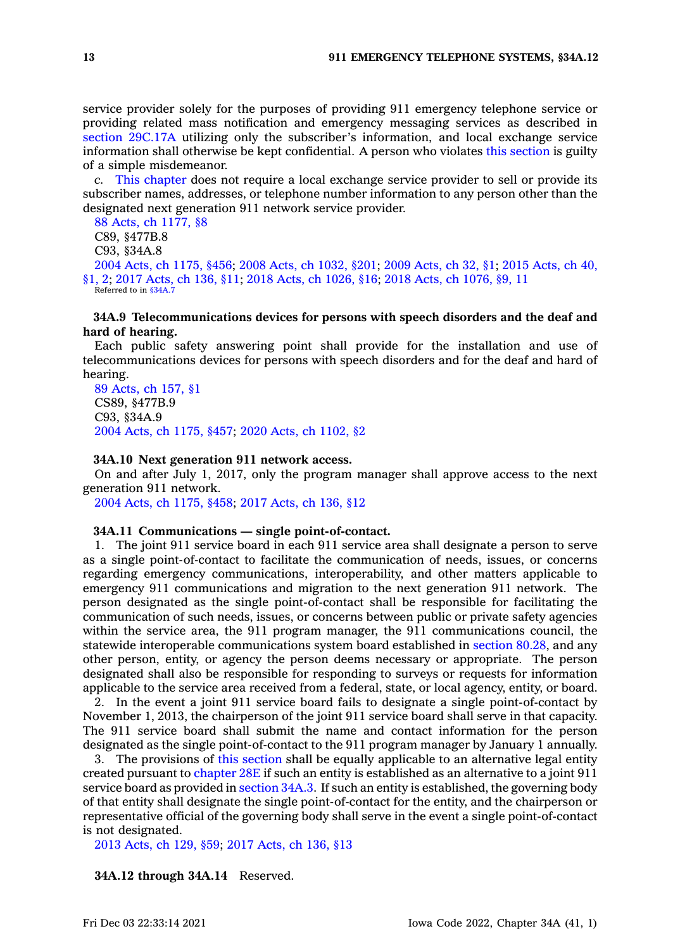service provider solely for the purposes of providing 911 emergency telephone service or providing related mass notification and emergency messaging services as described in section [29C.17A](https://www.legis.iowa.gov/docs/code/29C.17A.pdf) utilizing only the subscriber's information, and local exchange service information shall otherwise be kept confidential. A person who violates this [section](https://www.legis.iowa.gov/docs/code/34A.8.pdf) is guilty of <sup>a</sup> simple misdemeanor.

*c.* This [chapter](https://www.legis.iowa.gov/docs/code//34A.pdf) does not require <sup>a</sup> local exchange service provider to sell or provide its subscriber names, addresses, or telephone number information to any person other than the designated next generation 911 network service provider.

88 Acts, ch [1177,](https://www.legis.iowa.gov/docs/acts/1988/CH1177.pdf) §8 C89, §477B.8 C93, §34A.8 2004 Acts, ch [1175,](https://www.legis.iowa.gov/docs/acts/2004/CH1175.pdf) §456; 2008 Acts, ch [1032,](https://www.legis.iowa.gov/docs/acts/2008/CH1032.pdf) §201; 2009 [Acts,](https://www.legis.iowa.gov/docs/acts/2009/CH0032.pdf) ch 32, §1; 2015 [Acts,](https://www.legis.iowa.gov/docs/acts/2015/CH0040.pdf) ch 40, [§1,](https://www.legis.iowa.gov/docs/acts/2015/CH0040.pdf) 2; 2017 [Acts,](https://www.legis.iowa.gov/docs/acts/2017/CH0136.pdf) ch 136, §11; 2018 Acts, ch [1026,](https://www.legis.iowa.gov/docs/acts/2018/CH1026.pdf) §16; 2018 Acts, ch [1076,](https://www.legis.iowa.gov/docs/acts/2018/CH1076.pdf) §9, 11 Referred to in \$34A.

### **34A.9 Telecommunications devices for persons with speech disorders and the deaf and hard of hearing.**

Each public safety answering point shall provide for the installation and use of telecommunications devices for persons with speech disorders and for the deaf and hard of hearing.

89 [Acts,](https://www.legis.iowa.gov/docs/acts/1989/CH0157.pdf) ch 157, §1 CS89, §477B.9 C93, §34A.9 2004 Acts, ch [1175,](https://www.legis.iowa.gov/docs/acts/2004/CH1175.pdf) §457; 2020 Acts, ch [1102,](https://www.legis.iowa.gov/docs/acts/2020/CH1102.pdf) §2

# **34A.10 Next generation 911 network access.**

On and after July 1, 2017, only the program manager shall approve access to the next generation 911 network.

2004 Acts, ch [1175,](https://www.legis.iowa.gov/docs/acts/2004/CH1175.pdf) §458; 2017 [Acts,](https://www.legis.iowa.gov/docs/acts/2017/CH0136.pdf) ch 136, §12

#### **34A.11 Communications — single point-of-contact.**

1. The joint 911 service board in each 911 service area shall designate <sup>a</sup> person to serve as <sup>a</sup> single point-of-contact to facilitate the communication of needs, issues, or concerns regarding emergency communications, interoperability, and other matters applicable to emergency 911 communications and migration to the next generation 911 network. The person designated as the single point-of-contact shall be responsible for facilitating the communication of such needs, issues, or concerns between public or private safety agencies within the service area, the 911 program manager, the 911 communications council, the statewide interoperable communications system board established in [section](https://www.legis.iowa.gov/docs/code/80.28.pdf) 80.28, and any other person, entity, or agency the person deems necessary or appropriate. The person designated shall also be responsible for responding to surveys or requests for information applicable to the service area received from <sup>a</sup> federal, state, or local agency, entity, or board.

2. In the event <sup>a</sup> joint 911 service board fails to designate <sup>a</sup> single point-of-contact by November 1, 2013, the chairperson of the joint 911 service board shall serve in that capacity. The 911 service board shall submit the name and contact information for the person designated as the single point-of-contact to the 911 program manager by January 1 annually.

3. The provisions of this [section](https://www.legis.iowa.gov/docs/code/34A.11.pdf) shall be equally applicable to an alternative legal entity created pursuant to [chapter](https://www.legis.iowa.gov/docs/code//28E.pdf) 28E if such an entity is established as an alternative to <sup>a</sup> joint 911 service board as provided in [section](https://www.legis.iowa.gov/docs/code/34A.3.pdf) 34A.3. If such an entity is established, the governing body of that entity shall designate the single point-of-contact for the entity, and the chairperson or representative official of the governing body shall serve in the event <sup>a</sup> single point-of-contact is not designated.

2013 [Acts,](https://www.legis.iowa.gov/docs/acts/2013/CH0129.pdf) ch 129, §59; 2017 [Acts,](https://www.legis.iowa.gov/docs/acts/2017/CH0136.pdf) ch 136, §13

**34A.12 through 34A.14** Reserved.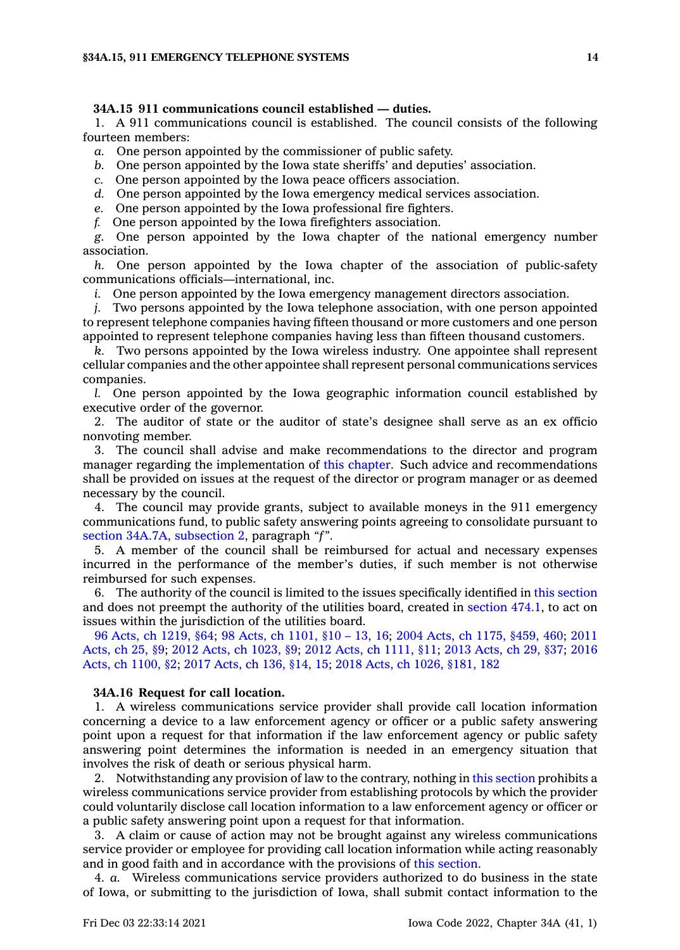### **34A.15 911 communications council established — duties.**

1. A 911 communications council is established. The council consists of the following fourteen members:

*a.* One person appointed by the commissioner of public safety.

*b.* One person appointed by the Iowa state sheriffs' and deputies' association.

*c.* One person appointed by the Iowa peace officers association.

*d.* One person appointed by the Iowa emergency medical services association.

*e.* One person appointed by the Iowa professional fire fighters.

*f.* One person appointed by the Iowa firefighters association.

*g.* One person appointed by the Iowa chapter of the national emergency number association.

*h.* One person appointed by the Iowa chapter of the association of public-safety communications officials—international, inc.

*i.* One person appointed by the Iowa emergency management directors association.

*j.* Two persons appointed by the Iowa telephone association, with one person appointed to represent telephone companies having fifteen thousand or more customers and one person appointed to represent telephone companies having less than fifteen thousand customers.

*k.* Two persons appointed by the Iowa wireless industry. One appointee shall represent cellular companies and the other appointee shall represent personal communications services companies.

*l.* One person appointed by the Iowa geographic information council established by executive order of the governor.

2. The auditor of state or the auditor of state's designee shall serve as an ex officio nonvoting member.

3. The council shall advise and make recommendations to the director and program manager regarding the implementation of this [chapter](https://www.legis.iowa.gov/docs/code//34A.pdf). Such advice and recommendations shall be provided on issues at the request of the director or program manager or as deemed necessary by the council.

4. The council may provide grants, subject to available moneys in the 911 emergency communications fund, to public safety answering points agreeing to consolidate pursuant to section 34A.7A, [subsection](https://www.legis.iowa.gov/docs/code/34A.7A.pdf) 2, paragraph *"f"*.

5. A member of the council shall be reimbursed for actual and necessary expenses incurred in the performance of the member's duties, if such member is not otherwise reimbursed for such expenses.

6. The authority of the council is limited to the issues specifically identified in this [section](https://www.legis.iowa.gov/docs/code/34A.15.pdf) and does not preempt the authority of the utilities board, created in [section](https://www.legis.iowa.gov/docs/code/474.1.pdf) 474.1, to act on issues within the jurisdiction of the utilities board.

96 Acts, ch [1219,](https://www.legis.iowa.gov/docs/acts/1996/CH1219.pdf) §64; 98 Acts, ch [1101,](https://www.legis.iowa.gov/docs/acts/98/CH1101.pdf) §10 – 13, 16; 2004 Acts, ch 1175, [§459,](https://www.legis.iowa.gov/docs/acts/2004/CH1175.pdf) 460; [2011](https://www.legis.iowa.gov/docs/acts/2011/CH0025.pdf) [Acts,](https://www.legis.iowa.gov/docs/acts/2011/CH0025.pdf) ch 25, §9; 2012 Acts, ch [1023,](https://www.legis.iowa.gov/docs/acts/2012/CH1023.pdf) §9; 2012 Acts, ch [1111,](https://www.legis.iowa.gov/docs/acts/2012/CH1111.pdf) §11; 2013 [Acts,](https://www.legis.iowa.gov/docs/acts/2013/CH0029.pdf) ch 29, §37; [2016](https://www.legis.iowa.gov/docs/acts/2016/CH1100.pdf) Acts, ch [1100,](https://www.legis.iowa.gov/docs/acts/2016/CH1100.pdf) §2; 2017 [Acts,](https://www.legis.iowa.gov/docs/acts/2017/CH0136.pdf) ch 136, §14, 15; 2018 Acts, ch 1026, [§181,](https://www.legis.iowa.gov/docs/acts/2018/CH1026.pdf) 182

#### **34A.16 Request for call location.**

1. A wireless communications service provider shall provide call location information concerning <sup>a</sup> device to <sup>a</sup> law enforcement agency or officer or <sup>a</sup> public safety answering point upon <sup>a</sup> request for that information if the law enforcement agency or public safety answering point determines the information is needed in an emergency situation that involves the risk of death or serious physical harm.

2. Notwithstanding any provision of law to the contrary, nothing in this [section](https://www.legis.iowa.gov/docs/code/34A.16.pdf) prohibits <sup>a</sup> wireless communications service provider from establishing protocols by which the provider could voluntarily disclose call location information to <sup>a</sup> law enforcement agency or officer or <sup>a</sup> public safety answering point upon <sup>a</sup> request for that information.

3. A claim or cause of action may not be brought against any wireless communications service provider or employee for providing call location information while acting reasonably and in good faith and in accordance with the provisions of this [section](https://www.legis.iowa.gov/docs/code/34A.16.pdf).

4. *a.* Wireless communications service providers authorized to do business in the state of Iowa, or submitting to the jurisdiction of Iowa, shall submit contact information to the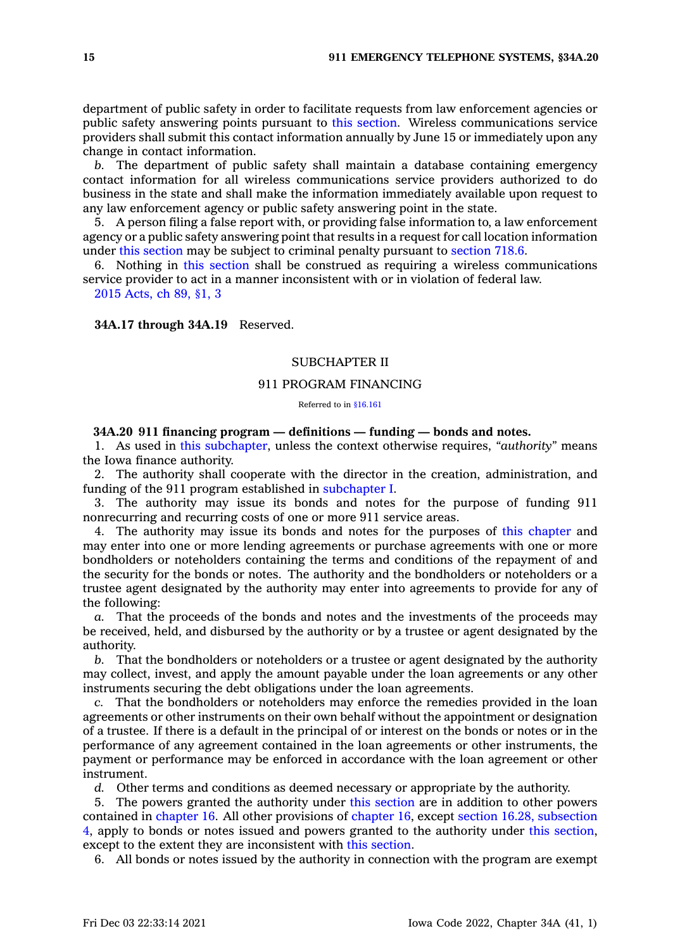department of public safety in order to facilitate requests from law enforcement agencies or public safety answering points pursuant to this [section](https://www.legis.iowa.gov/docs/code/34A.16.pdf). Wireless communications service providers shall submit this contact information annually by June 15 or immediately upon any change in contact information.

*b.* The department of public safety shall maintain <sup>a</sup> database containing emergency contact information for all wireless communications service providers authorized to do business in the state and shall make the information immediately available upon request to any law enforcement agency or public safety answering point in the state.

5. A person filing <sup>a</sup> false report with, or providing false information to, <sup>a</sup> law enforcement agency or <sup>a</sup> public safety answering point that results in <sup>a</sup> request for call location information under this [section](https://www.legis.iowa.gov/docs/code/34A.16.pdf) may be subject to criminal penalty pursuant to [section](https://www.legis.iowa.gov/docs/code/718.6.pdf) 718.6.

6. Nothing in this [section](https://www.legis.iowa.gov/docs/code/34A.16.pdf) shall be construed as requiring <sup>a</sup> wireless communications service provider to act in <sup>a</sup> manner inconsistent with or in violation of federal law.

2015 [Acts,](https://www.legis.iowa.gov/docs/acts/2015/CH0089.pdf) ch 89, §1, 3

**34A.17 through 34A.19** Reserved.

# SUBCHAPTER II

### 911 PROGRAM FINANCING

Referred to in [§16.161](https://www.legis.iowa.gov/docs/code/16.161.pdf)

### **34A.20 911 financing program — definitions — funding — bonds and notes.**

1. As used in this [subchapter](https://www.legis.iowa.gov/docs/code//34A.pdf), unless the context otherwise requires, *"authority"* means the Iowa finance authority.

2. The authority shall cooperate with the director in the creation, administration, and funding of the 911 program established in [subchapter](https://www.legis.iowa.gov/docs/code//34A.pdf) I.

3. The authority may issue its bonds and notes for the purpose of funding 911 nonrecurring and recurring costs of one or more 911 service areas.

4. The authority may issue its bonds and notes for the purposes of this [chapter](https://www.legis.iowa.gov/docs/code//34A.pdf) and may enter into one or more lending agreements or purchase agreements with one or more bondholders or noteholders containing the terms and conditions of the repayment of and the security for the bonds or notes. The authority and the bondholders or noteholders or <sup>a</sup> trustee agent designated by the authority may enter into agreements to provide for any of the following:

*a.* That the proceeds of the bonds and notes and the investments of the proceeds may be received, held, and disbursed by the authority or by <sup>a</sup> trustee or agent designated by the authority.

*b.* That the bondholders or noteholders or <sup>a</sup> trustee or agent designated by the authority may collect, invest, and apply the amount payable under the loan agreements or any other instruments securing the debt obligations under the loan agreements.

*c.* That the bondholders or noteholders may enforce the remedies provided in the loan agreements or other instruments on their own behalf without the appointment or designation of <sup>a</sup> trustee. If there is <sup>a</sup> default in the principal of or interest on the bonds or notes or in the performance of any agreement contained in the loan agreements or other instruments, the payment or performance may be enforced in accordance with the loan agreement or other instrument.

*d.* Other terms and conditions as deemed necessary or appropriate by the authority.

5. The powers granted the authority under this [section](https://www.legis.iowa.gov/docs/code/34A.20.pdf) are in addition to other powers contained in [chapter](https://www.legis.iowa.gov/docs/code//16.pdf) 16. All other provisions of [chapter](https://www.legis.iowa.gov/docs/code//16.pdf) 16, except section 16.28, [subsection](https://www.legis.iowa.gov/docs/code/16.28.pdf) [4](https://www.legis.iowa.gov/docs/code/16.28.pdf), apply to bonds or notes issued and powers granted to the authority under this [section](https://www.legis.iowa.gov/docs/code/34A.20.pdf), except to the extent they are inconsistent with this [section](https://www.legis.iowa.gov/docs/code/34A.20.pdf).

6. All bonds or notes issued by the authority in connection with the program are exempt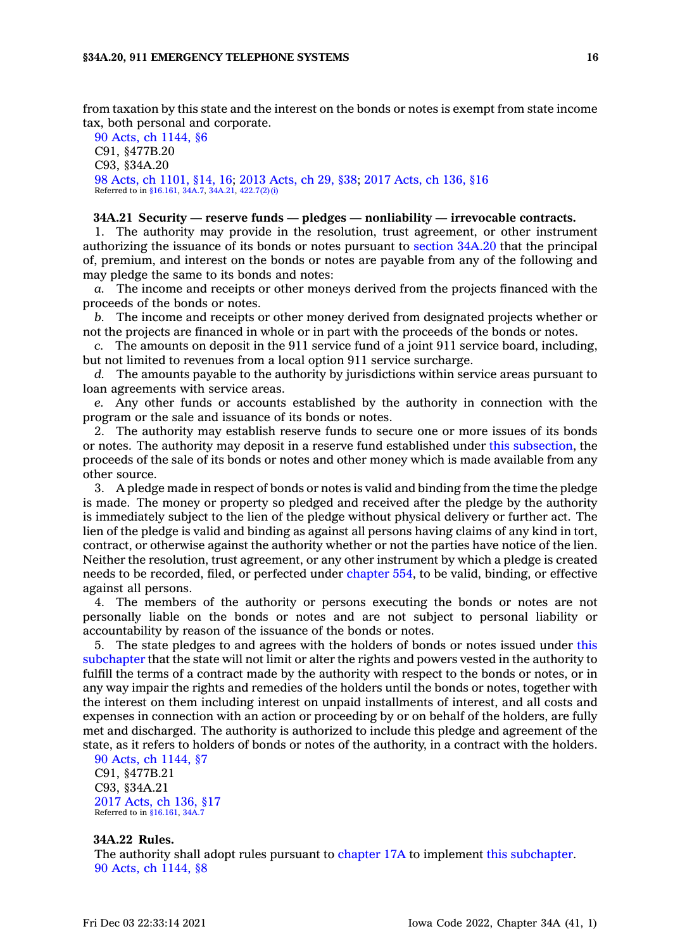from taxation by this state and the interest on the bonds or notes is exempt from state income tax, both personal and corporate.

90 Acts, ch [1144,](https://www.legis.iowa.gov/docs/acts/1990/CH1144.pdf) §6 C91, §477B.20 C93, §34A.20 98 Acts, ch [1101,](https://www.legis.iowa.gov/docs/acts/1998/CH1101.pdf) §14, 16; 2013 [Acts,](https://www.legis.iowa.gov/docs/acts/2013/CH0029.pdf) ch 29, §38; 2017 [Acts,](https://www.legis.iowa.gov/docs/acts/2017/CH0136.pdf) ch 136, §16 Referred to in [§16.161](https://www.legis.iowa.gov/docs/code/16.161.pdf), [34A.7](https://www.legis.iowa.gov/docs/code/34A.7.pdf), [34A.21](https://www.legis.iowa.gov/docs/code/34A.21.pdf), [422.7\(2\)\(i\)](https://www.legis.iowa.gov/docs/code/422.7.pdf)

#### **34A.21 Security — reserve funds — pledges — nonliability — irrevocable contracts.**

1. The authority may provide in the resolution, trust agreement, or other instrument authorizing the issuance of its bonds or notes pursuant to [section](https://www.legis.iowa.gov/docs/code/34A.20.pdf) 34A.20 that the principal of, premium, and interest on the bonds or notes are payable from any of the following and may pledge the same to its bonds and notes:

*a.* The income and receipts or other moneys derived from the projects financed with the proceeds of the bonds or notes.

*b.* The income and receipts or other money derived from designated projects whether or not the projects are financed in whole or in part with the proceeds of the bonds or notes.

*c.* The amounts on deposit in the 911 service fund of <sup>a</sup> joint 911 service board, including, but not limited to revenues from <sup>a</sup> local option 911 service surcharge.

*d.* The amounts payable to the authority by jurisdictions within service areas pursuant to loan agreements with service areas.

*e.* Any other funds or accounts established by the authority in connection with the program or the sale and issuance of its bonds or notes.

2. The authority may establish reserve funds to secure one or more issues of its bonds or notes. The authority may deposit in <sup>a</sup> reserve fund established under this [subsection](https://www.legis.iowa.gov/docs/code/34A.21.pdf), the proceeds of the sale of its bonds or notes and other money which is made available from any other source.

3. A pledge made in respect of bonds or notes is valid and binding from the time the pledge is made. The money or property so pledged and received after the pledge by the authority is immediately subject to the lien of the pledge without physical delivery or further act. The lien of the pledge is valid and binding as against all persons having claims of any kind in tort, contract, or otherwise against the authority whether or not the parties have notice of the lien. Neither the resolution, trust agreement, or any other instrument by which <sup>a</sup> pledge is created needs to be recorded, filed, or perfected under [chapter](https://www.legis.iowa.gov/docs/code//554.pdf) 554, to be valid, binding, or effective against all persons.

4. The members of the authority or persons executing the bonds or notes are not personally liable on the bonds or notes and are not subject to personal liability or accountability by reason of the issuance of the bonds or notes.

5. The state pledges to and agrees with the holders of bonds or notes issued under [this](https://www.legis.iowa.gov/docs/code//34A.pdf) [subchapter](https://www.legis.iowa.gov/docs/code//34A.pdf) that the state will not limit or alter the rights and powers vested in the authority to fulfill the terms of <sup>a</sup> contract made by the authority with respect to the bonds or notes, or in any way impair the rights and remedies of the holders until the bonds or notes, together with the interest on them including interest on unpaid installments of interest, and all costs and expenses in connection with an action or proceeding by or on behalf of the holders, are fully met and discharged. The authority is authorized to include this pledge and agreement of the state, as it refers to holders of bonds or notes of the authority, in <sup>a</sup> contract with the holders.

90 Acts, ch [1144,](https://www.legis.iowa.gov/docs/acts/1990/CH1144.pdf) §7 C91, §477B.21 C93, §34A.21 2017 [Acts,](https://www.legis.iowa.gov/docs/acts/2017/CH0136.pdf) ch 136, §17 Referred to in [§16.161](https://www.legis.iowa.gov/docs/code/16.161.pdf), [34A.7](https://www.legis.iowa.gov/docs/code/34A.7.pdf)

# **34A.22 Rules.**

The authority shall adopt rules pursuant to [chapter](https://www.legis.iowa.gov/docs/code//17A.pdf) 17A to implement this [subchapter](https://www.legis.iowa.gov/docs/code//34A.pdf). 90 Acts, ch [1144,](https://www.legis.iowa.gov/docs/acts/1990/CH1144.pdf) §8